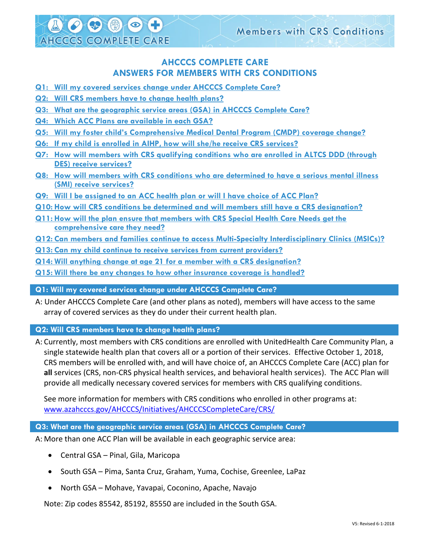# **AHCCCS COMPLETE CARE ANSWERS FOR MEMBERS WITH CRS CONDITIONS**

- **Q1: [Will my covered services change](#page-0-0) under AHCCCS Complete Care?**
- **Q2: [Will CRS members have to change health plans?](#page-0-1)**
- **Q3: [What are the geographic service areas \(GSA\) in AHCCCS Complete Care?](#page-0-2)**
- **Q4: Which [ACC Plans are available in each GSA?](#page-1-0)**

4 4 0

**AHCCCS COMPLETE CARE** 

- **Q5: Will my foster child's Compre[hensive Medical Dental Program \(CMDP\) coverage change?](#page-1-1)**
- **Q6: [If my child is enrolled in AIHP, how will she/he receive CRS services?](#page-1-2)**
- **Q7: How [will members with CRS qualifying conditions who](#page-1-3) are enrolled in ALTCS DDD (through [DES\) receive services?](#page-1-3)**
- **Q8: How will members with CRS conditions [who are determined to have a serious mental illness](#page-1-4)  [\(SMI\) receive services?](#page-1-4)**
- **Q9: [Will I be assigned to an ACC health plan or will I have choice of ACC Plan?](#page-1-5)**
- **Q10: [How will CRS conditions be determined and will members still have a CRS designation?](#page-1-6)**
- **Q11: [How will the plan ensure that members with CRS Special Health Care Needs get the](#page-1-7)  [comprehensive care they need?](#page-1-7)**
- **Q12: [Can members and families continue to access Multi-Specialty Interdisciplinary Clinics \(MSICs\)?](#page-2-0)**
- **Q13: [Can my child continue to receive services from current providers?](#page-2-1)**
- **Q14: [Will anything change at age 21 for a member with a CRS designation?](#page-2-2)**
- **Q15: [Will there be any changes to how other insurance coverage is handled?](#page-3-0)**

<span id="page-0-0"></span>**Q1: Will my covered services change under AHCCCS Complete Care?**

A: Under AHCCCS Complete Care (and other plans as noted), members will have access to the same array of covered services as they do under their current health plan.

<span id="page-0-1"></span>**Q2: Will CRS members have to change health plans?**

A: Currently, most members with CRS conditions are enrolled with UnitedHealth Care Community Plan, a single statewide health plan that covers all or a portion of their services. Effective October 1, 2018, CRS members will be enrolled with, and will have choice of, an AHCCCS Complete Care (ACC) plan for **all** services (CRS, non-CRS physical health services, and behavioral health services). The ACC Plan will provide all medically necessary covered services for members with CRS qualifying conditions.

See more information for members with CRS conditions who enrolled in other programs at: [www.azahcccs.gov/AHCCCS/Initiatives/AHCCCSCompleteCare/CRS/](http://www.azahcccs.gov/AHCCCS/Initiatives/AHCCCSCompleteCare/CRS/)

## <span id="page-0-2"></span>**Q3: What are the geographic service areas (GSA) in AHCCCS Complete Care?**

A: More than one ACC Plan will be available in each geographic service area:

- Central GSA Pinal, Gila, Maricopa
- South GSA Pima, Santa Cruz, Graham, Yuma, Cochise, Greenlee, LaPaz
- North GSA Mohave, Yavapai, Coconino, Apache, Navajo

Note: Zip codes 85542, 85192, 85550 are included in the South GSA.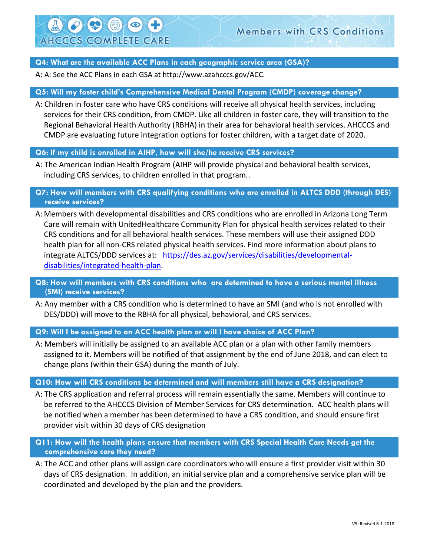# **Members with CRS Conditions**

#### <span id="page-1-0"></span>**Q4: What are the available ACC Plans in each geographic service area (GSA)?**

A: A: See the ACC Plans in each GSA at http://www.azahcccs.gov/ACC.

SA J

**AHCCCS COMPLETE CARE** 

#### <span id="page-1-1"></span>**Q5: Will my foster child's Comprehensive Medical Dental Program (CMDP) coverage change?**

A: Children in foster care who have CRS conditions will receive all physical health services, including services for their CRS condition, from CMDP. Like all children in foster care, they will transition to the Regional Behavioral Health Authority (RBHA) in their area for behavioral health services. AHCCCS and CMDP are evaluating future integration options for foster children, with a target date of 2020.

#### <span id="page-1-2"></span>**Q6: If my child is enrolled in AIHP, how will she/he receive CRS services?**

A: The American Indian Health Program (AIHP will provide physical and behavioral health services, including CRS services, to children enrolled in that program..

# <span id="page-1-3"></span>**Q7: How will members with CRS qualifying conditions who are enrolled in ALTCS DDD (through DES) receive services?**

A: Members with developmental disabilities and CRS conditions who are enrolled in Arizona Long Term Care will remain with UnitedHealthcare Community Plan for physical health services related to their CRS conditions and for all behavioral health services. These members will use their assigned DDD health plan for all non-CRS related physical health services. Find more information about plans to integrate ALTCS/DDD services at: [https://des.az.gov/services/disabilities/developmental](https://des.az.gov/services/disabilities/developmental-disabilities/integrated-health-plan)[disabilities/integrated-health-plan.](https://des.az.gov/services/disabilities/developmental-disabilities/integrated-health-plan)

# <span id="page-1-4"></span>**Q8: How will members with CRS conditions who are determined to have a serious mental illness (SMI) receive services?**

A: Any member with a CRS condition who is determined to have an SMI (and who is not enrolled with DES/DDD) will move to the RBHA for all physical, behavioral, and CRS services.

<span id="page-1-5"></span>**Q9: Will I be assigned to an ACC health plan or will I have choice of ACC Plan?**

A: Members will initially be assigned to an available ACC plan or a plan with other family members assigned to it. Members will be notified of that assignment by the end of June 2018, and can elect to change plans (within their GSA) during the month of July.

#### <span id="page-1-6"></span>**Q10: How will CRS conditions be determined and will members still have a CRS designation?**

A: The CRS application and referral process will remain essentially the same. Members will continue to be referred to the AHCCCS Division of Member Services for CRS determination. ACC health plans will be notified when a member has been determined to have a CRS condition, and should ensure first provider visit within 30 days of CRS designation

## <span id="page-1-7"></span>**Q11: How will the health plans ensure that members with CRS Special Health Care Needs get the comprehensive care they need?**

A: The ACC and other plans will assign care coordinators who will ensure a first provider visit within 30 days of CRS designation. In addition, an initial service plan and a comprehensive service plan will be coordinated and developed by the plan and the providers.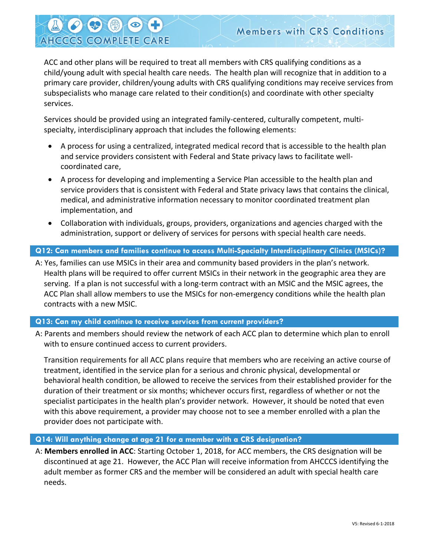ACC and other plans will be required to treat all members with CRS qualifying conditions as a child/young adult with special health care needs. The health plan will recognize that in addition to a primary care provider, children/young adults with CRS qualifying conditions may receive services from subspecialists who manage care related to their condition(s) and coordinate with other specialty services.

Services should be provided using an integrated family-centered, culturally competent, multispecialty, interdisciplinary approach that includes the following elements:

- A process for using a centralized, integrated medical record that is accessible to the health plan and service providers consistent with Federal and State privacy laws to facilitate wellcoordinated care,
- A process for developing and implementing a Service Plan accessible to the health plan and service providers that is consistent with Federal and State privacy laws that contains the clinical, medical, and administrative information necessary to monitor coordinated treatment plan implementation, and
- Collaboration with individuals, groups, providers, organizations and agencies charged with the administration, support or delivery of services for persons with special health care needs.

# <span id="page-2-0"></span>**Q12: Can members and families continue to access Multi-Specialty Interdisciplinary Clinics (MSICs)?**

A: Yes, families can use MSICs in their area and community based providers in the plan's network. Health plans will be required to offer current MSICs in their network in the geographic area they are serving. If a plan is not successful with a long-term contract with an MSIC and the MSIC agrees, the ACC Plan shall allow members to use the MSICs for non-emergency conditions while the health plan contracts with a new MSIC.

# <span id="page-2-1"></span>**Q13: Can my child continue to receive services from current providers?**

**END** 

**AHCCCS COMPLETE CARE** 

A: Parents and members should review the network of each ACC plan to determine which plan to enroll with to ensure continued access to current providers.

Transition requirements for all ACC plans require that members who are receiving an active course of treatment, identified in the service plan for a serious and chronic physical, developmental or behavioral health condition, be allowed to receive the services from their established provider for the duration of their treatment or six months; whichever occurs first, regardless of whether or not the specialist participates in the health plan's provider network. However, it should be noted that even with this above requirement, a provider may choose not to see a member enrolled with a plan the provider does not participate with.

## <span id="page-2-2"></span>**Q14: Will anything change at age 21 for a member with a CRS designation?**

A: **Members enrolled in ACC**: Starting October 1, 2018, for ACC members, the CRS designation will be discontinued at age 21. However, the ACC Plan will receive information from AHCCCS identifying the adult member as former CRS and the member will be considered an adult with special health care needs.